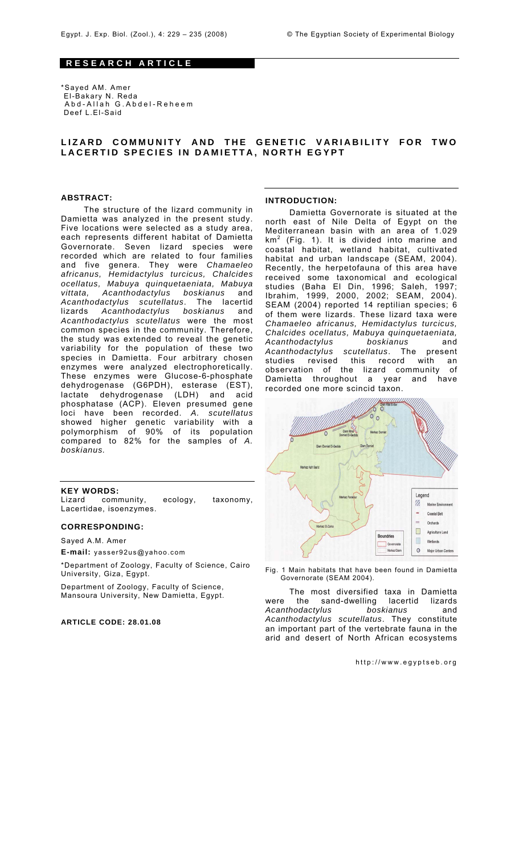# **RESEARCH ARTICLE**

\*Sayed AM. Amer El-Bakary N. Reda Abd-Allah G.Abdel-Reheem Deef L.El-Said

# **LIZARD COMMUNITY AND THE GENETIC VARIABILITY FOR TWO LACERTID SPECIES IN DAMIETTA, NORTH EGYPT**

## **ABSTRACT:**

The structure of the lizard community in Damietta was analyzed in the present study. Five locations were selected as a study area, each represents different habitat of Damietta Governorate. Seven lizard species were recorded which are related to four families and five genera. They were *Chamaeleo africanus, Hemidactylus turcicus, Chalcides ocellatus, Mabuya quinquetaeniata, Mabuya vittata, Acanthodactylus boskianus* and *Acanthodactylus scutellatus*. The lacertid lizards *Acanthodactylus boskianus* and *Acanthodactylus scutellatus* were the most common species in the community. Therefore, the study was extended to reveal the genetic variability for the population of these two species in Damietta. Four arbitrary chosen enzymes were analyzed electrophoretically. These enzymes were Glucose-6-phosphate dehydrogenase (G6PDH), esterase (EST), lactate dehydrogenase (LDH) and acid phosphatase (ACP). Eleven presumed gene loci have been recorded. *A. scutellatus* showed higher genetic variability with a polymorphism of 90% of its population compared to 82% for the samples of *A. boskianus.* 

## **KEY WORDS:**

Lizard community, ecology, taxonomy, Lacertidae, isoenzymes.

## **CORRESPONDING:**

Sayed A.M. Amer

**E-mail:** yasser92us@yahoo.com

\*Department of Zoology, Faculty of Science, Cairo University, Giza, Egypt.

Department of Zoology, Faculty of Science, Mansoura University, New Damietta, Egypt.

### **ARTICLE CODE: 28.01.08**

### **INTRODUCTION:**

Damietta Governorate is situated at the north east of Nile Delta of Egypt on the Mediterranean basin with an area of 1.029  $km<sup>2</sup>$  (Fig. 1). It is divided into marine and coastal habitat, wetland habitat, cultivated habitat and urban landscape (SEAM, 2004). Recently, the herpetofauna of this area have received some taxonomical and ecological studies (Baha El Din, 1996; Saleh, 1997; Ibrahim, 1999, 2000, 2002; SEAM, 2004). SEAM (2004) reported 14 reptilian species; 6 of them were lizards. These lizard taxa were *Chamaeleo africanus, Hemidactylus turcicus, Chalcides ocellatus, Mabuya quinquetaeniata, Acanthodactylus boskianus* and *Acanthodactylus scutellatus*. The present studies revised this record with an observation of the lizard community of Damietta throughout a year and have recorded one more scincid taxon.



Fig. 1 Main habitats that have been found in Damietta Governorate (SEAM 2004).

The most diversified taxa in Damietta were the sand-dwelling lacertid lizards *Acanthodactylus boskianus* and *Acanthodactylus scutellatus*. They constitute an important part of the vertebrate fauna in the arid and desert of North African ecosystems

http://www.egyptseb.org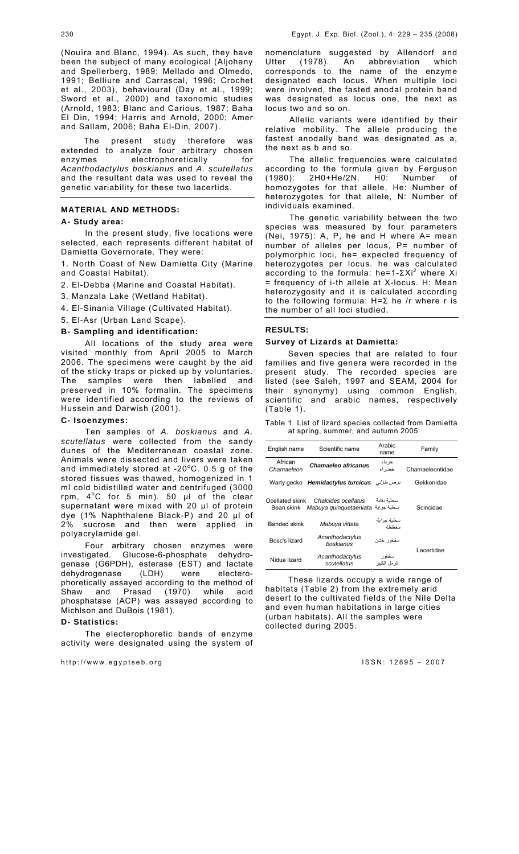(Nouїra and Blanc, 1994). As such, they have been the subject of many ecological (Aljohany and Spellerberg, 1989; Mellado and Olmedo, 1991; Belliure and Carrascal, 1996; Crochet et al., 2003), behavioural (Day et al., 1999; Sword et al., 2000) and taxonomic studies (Arnold, 1983; Blanc and Carious, 1987; Baha El Din, 1994; Harris and Arnold, 2000; Amer and Sallam, 2006; Baha El-Din, 2007).

The present study therefore was extended to analyze four arbitrary chosen enzymes electrophoretically for *Acanthodactylus boskianus* and *A. scutellatus*  and the resultant data was used to reveal the genetic variability for these two lacertids.

## **MATERIAL AND METHODS:**

### **A- Study area:**

In the present study, five locations were selected, each represents different habitat of Damietta Governorate. They were:

1. North Coast of New Damietta City (Marine and Coastal Habitat).

- 2. El-Debba (Marine and Coastal Habitat).
- 3. Manzala Lake (Wetland Habitat).
- 4. El-Sinania Village (Cultivated Habitat).
- 5. El-Asr (Urban Land Scape).

#### **B- Sampling and identification:**

All locations of the study area were visited monthly from April 2005 to March 2006. The specimens were caught by the aid of the sticky traps or picked up by voluntaries. The samples were then labelled and preserved in 10% formalin. The specimens were identified according to the reviews of Hussein and Darwish (2001).

### **C- Isoenzymes:**

Ten samples of *A. boskianus* and *A. scutellatus* were collected from the sandy dunes of the Mediterranean coastal zone. Animals were dissected and livers were taken and immediately stored at -20 $^{\circ}$ C. 0.5 g of the stored tissues was thawed, homogenized in 1 ml cold bidistilled water and centrifuged (3000 rpm,  $4^{\circ}$ C for 5 min). 50  $\mu$ l of the clear supernatant were mixed with 20 µl of protein dye (1% Naphthalene Black-P) and 20 µl of 2% sucrose and then were applied in polyacrylamide gel.

Four arbitrary chosen enzymes were<br>investigated. Glucose-6-phosphate dehydro-Glucose-6-phosphate dehydrogenase (G6PDH), esterase (EST) and lactate dehydrogenase (LDH) were electerophoretically assayed according to the method of Shaw and Prasad (1970) while acid phosphatase (ACP) was assayed according to Michlson and DuBois (1981).

#### **D- Statistics:**

The electerophoretic bands of enzyme activity were designated using the system of

http://www.egyptseb.org ISSN: 12895 – 2007

nomenclature suggested by Allendorf and Utter (1978). An abbreviation which corresponds to the name of the enzyme designated each locus. When multiple loci were involved, the fasted anodal protein band was designated as locus one, the next as locus two and so on.

Allelic variants were identified by their relative mobility. The allele producing the fastest anodally band was designated as a, the next as b and so.

The allelic frequencies were calculated according to the formula given by Ferguson (1980): 2H0+He/2N. H0: Number of homozygotes for that allele, He: Number of heterozygotes for that allele, N: Number of individuals examined.

The genetic variability between the two species was measured by four parameters (Nei, 1975): A, P, he and H where A= mean number of alleles per locus, P= number of polymorphic loci, he= expected frequency of heterozygotes per locus. he was calculated according to the formula: he=1- $\Sigma$ Xi<sup>2</sup> where Xi = frequency of i-th allele at X-locus. H: Mean heterozygosity and it is calculated according to the following formula: H=Σ he /r where r is the number of all loci studied.

## **RESULTS:**

### **Survey of Lizards at Damietta:**

Seven species that are related to four families and five genera were recorded in the present study. The recorded species are listed (see Saleh, 1997 and SEAM, 2004 for their synonymy) using common English, scientific and arabic names, respectively (Table 1).

Table 1. List of lizard species collected from Damietta at spring, summer, and autumn 2005

| English name                  | Scientific name                                      | Arabic<br>name              | Family          |
|-------------------------------|------------------------------------------------------|-----------------------------|-----------------|
| African<br>Chamaeleon         | Chamaeleo africanus                                  | حر باء<br>خضر اء            | Chamaeleontidae |
|                               | برص منزلی   Warty qecko <b>Hemidactylus turcicus</b> |                             | Gekkonidae      |
| Ocellated skink<br>Bean skink | Chalcides ocellatus<br>Mabuya quinquetaeniata        | سحلية دفانة<br>سحلبة جر ابة | Scincidae       |
| <b>Banded skink</b>           | Mabuya vittata                                       | سطية جراية<br>مخططة         |                 |
| Bosc's lizard                 | Acanthodactylus<br>boskianus                         | سقنقور خشن                  | Lacertidae      |
| Nidua lizard                  | Acanthodactylus<br>scutellatus                       | سقنقو ر<br>الر مل الكنبر    |                 |

These lizards occupy a wide range of habitats (Table 2) from the extremely arid desert to the cultivated fields of the Nile Delta and even human habitations in large cities (urban habitats). All the samples were collected during 2005.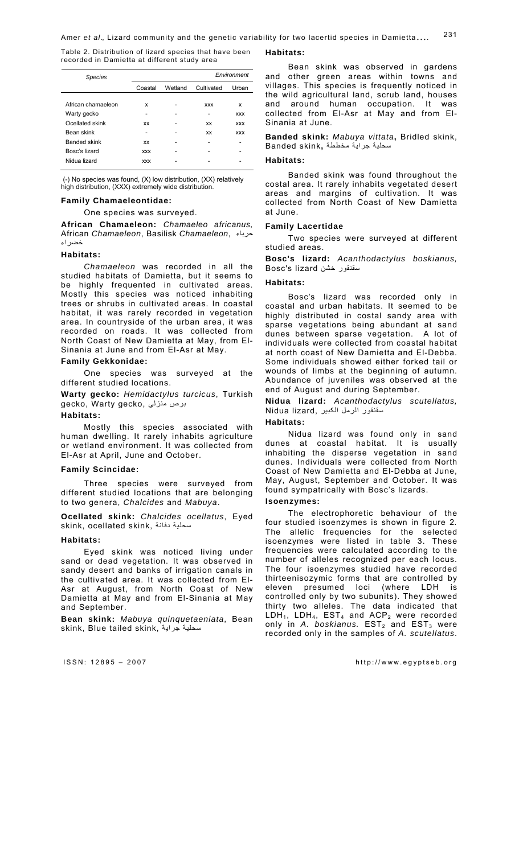Table 2. Distribution of lizard species that have been recorded in Damietta at different study area

| <b>Species</b>      | Fnvironment |         |            |            |  |
|---------------------|-------------|---------|------------|------------|--|
|                     | Coastal     | Wetland | Cultivated | Urban      |  |
|                     |             |         |            |            |  |
| African chamaeleon  | x           |         | <b>XXX</b> | x          |  |
| Warty gecko         | -           | ۰       |            | <b>XXX</b> |  |
| Ocellated skink     | ХX          |         | xх         | <b>XXX</b> |  |
| Bean skink          | ۰           | -       | xх         | <b>XXX</b> |  |
| <b>Banded skink</b> | ХX          |         |            |            |  |
| Bosc's lizard       | <b>XXX</b>  | -       |            |            |  |
| Nidua lizard        | <b>XXX</b>  |         |            |            |  |
|                     |             |         |            |            |  |

 (-) No species was found, (X) low distribution, (XX) relatively high distribution, (XXX) extremely wide distribution.

## **Family Chamaeleontidae:**

One species was surveyed.

**African Chamaeleon:** *Chamaeleo africanus,*  African *Chamaeleon*, Basilisk *Chamaeleon*, حرباء خضراء

### **Habitats:**

*Chamaeleon* was recorded in all the studied habitats of Damietta, but it seems to be highly frequented in cultivated areas. Mostly this species was noticed inhabiting trees or shrubs in cultivated areas. In coastal habitat, it was rarely recorded in vegetation area. In countryside of the urban area, it was recorded on roads. It was collected from North Coast of New Damietta at May, from El-Sinania at June and from El-Asr at May.

## **Family Gekkonidae:**

One species was surveyed at the different studied locations.

**Warty gecko:** *Hemidactylus turcicus*, Turkish gecko, Warty gecko, منزلي برص

## **Habitats:**

Mostly this species associated with human dwelling. It rarely inhabits agriculture or wetland environment. It was collected from El-Asr at April, June and October.

## **Family Scincidae:**

Three species were surveyed from different studied locations that are belonging to two genera, *Chalcides* and *Mabuya*.

**Ocellated skink:** *Chalcides ocellatus*, Eyed skink, ocellated skink, دفانة سحلية

#### **Habitats:**

Eyed skink was noticed living under sand or dead vegetation. It was observed in sandy desert and banks of irrigation canals in the cultivated area. It was collected from El-Asr at August, from North Coast of New Damietta at May and from El-Sinania at May and September.

**Bean skink:** *Mabuya quinquetaeniata*, Bean skink, Blue tailed skink, جراية سحلية

**Habitats:** 

Bean skink was observed in gardens and other green areas within towns and villages. This species is frequently noticed in the wild agricultural land, scrub land, houses and around human occupation. It was collected from El-Asr at May and from El-Sinania at June.

**Banded skink:** *Mabuya vittata***,** Bridled skink, سحلية جراية مخططة **,**skink Banded

## **Habitats:**

Banded skink was found throughout the costal area. It rarely inhabits vegetated desert areas and margins of cultivation. It was collected from North Coast of New Damietta at June.

#### **Family Lacertidae**

Two species were surveyed at different studied areas.

**Bosc's lizard:** *Acanthodactylus boskianus,*  Bosc's lizard خشن سقنقور

# **Habitats:**

Bosc's lizard was recorded only in coastal and urban habitats. It seemed to be highly distributed in costal sandy area with sparse vegetations being abundant at sand dunes between sparse vegetation. A lot of individuals were collected from coastal habitat at north coast of New Damietta and El-Debba. Some individuals showed either forked tail or wounds of limbs at the beginning of autumn. Abundance of juveniles was observed at the end of August and during September.

**Nidua lizard:** *Acanthodactylus scutellatus,*  سقنقور الرمل الكبير ,lizard Nidua

### **Habitats:**

Nidua lizard was found only in sand dunes at coastal habitat. It is usually inhabiting the disperse vegetation in sand dunes. Individuals were collected from North Coast of New Damietta and El-Debba at June, May, August, September and October. It was found sympatrically with Bosc's lizards.

# **Isoenzymes:**

The electrophoretic behaviour of the four studied isoenzymes is shown in figure 2*.* The allelic frequencies for the selected isoenzymes were listed in table 3. These frequencies were calculated according to the number of alleles recognized per each locus. The four isoenzymes studied have recorded thirteenisozymic forms that are controlled by eleven presumed loci (where LDH is controlled only by two subunits). They showed thirty two alleles. The data indicated that  $LDH_1$ ,  $LDH_4$ ,  $EST_4$  and  $ACP_2$  were recorded only in *A. boskianus.*  $EST_2$  and  $EST_3$  were recorded only in the samples of *A. scutellatus*.

ISSN: 12895 – 2007 http://www.egyptseb.org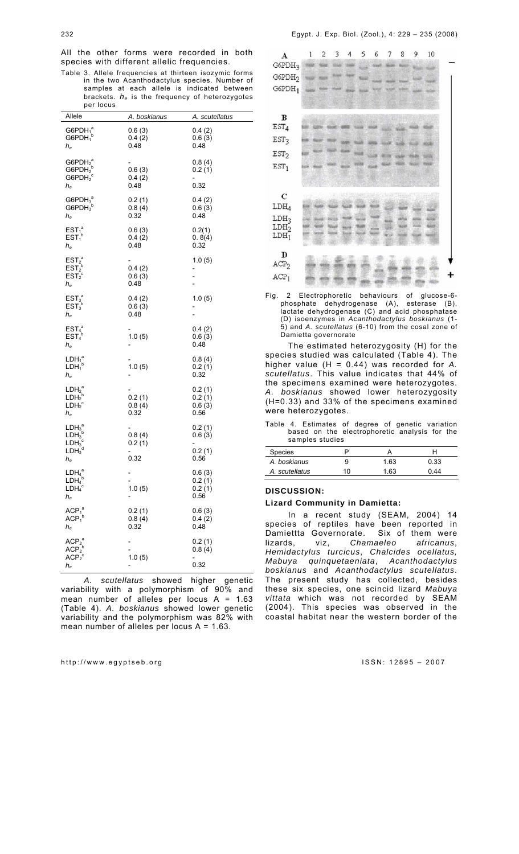All the other forms were recorded in both species with different allelic frequencies.

Table 3. Allele frequencies at thirteen isozymic forms in the two Acanthodactylus species. Number of samples at each allele is indicated between brackets*. he* is the frequency of heterozygotes per locus

| Allele                                                                                                                             | A. boskianus             | A. scutellatus                     |
|------------------------------------------------------------------------------------------------------------------------------------|--------------------------|------------------------------------|
| $G6PDH_1^a$<br>$G6PDH_1^b$<br>$h_{\rm e}$                                                                                          | 0.6(3)<br>0.4(2)<br>0.48 | 0.4(2)<br>0.6(3)<br>0.48           |
| $G6PDH2a$<br>$G6PDH2b$<br>G6PDH <sub>2</sub> °<br>$h_{\rm e}$                                                                      | 0.6(3)<br>0.4(2)<br>0.48 | 0.8(4)<br>0.2(1)<br>0.32           |
| G6PDH <sub>3</sub> <sup>a</sup><br>$G6PDH_3'$<br>he                                                                                | 0.2(1)<br>0.8(4)<br>0.32 | 0.4(2)<br>0.6(3)<br>0.48           |
| $EST_1^a$<br>$EST_1^b$<br>h <sub>e</sub>                                                                                           | 0.6(3)<br>0.4(2)<br>0.48 | 0.2(1)<br>0.8(4)<br>0.32           |
| $\begin{array}{cc} \mathsf{EST_2}^\mathsf{a} \\ \mathsf{EST_2}^\mathsf{b} \\ \mathsf{EST_2}^\mathsf{c} \end{array}$<br>$h_{\rm e}$ | 0.4(2)<br>0.6(3)<br>0.48 | 1.0(5)<br>-                        |
| $EST^a_{3}$<br>$EST^b_{3}$<br>$h_{\rm e}$                                                                                          | 0.4(2)<br>0.6(3)<br>0.48 | 1.0(5)<br>$\qquad \qquad -$        |
| $EST_4^a$<br>$EST_4^b$<br>$h_{\rm e}$                                                                                              | 1.0(5)                   | 0.4 (2)<br>0.6(3)<br>0.48          |
| $LDH_1^a$<br>$LDH_1^b$<br>$h_{\rm e}$                                                                                              | 1.0(5)                   | 0.8(4)<br>0.2(1)<br>0.32           |
| $LDH2a$<br>LDH <sub>2</sub><br>$LDH_2^{-c}$<br>$h_{\rm e}$                                                                         | 0.2(1)<br>0.8(4)<br>0.32 | 0.2(1)<br>0.2(1)<br>0.6(3)<br>0.56 |
| LDH <sub>3</sub> <sup>a</sup><br>$LDH_3^b$<br>$LDH_3^{\circ}$<br>$LDH_3^{\circ}$<br>$h_{\rm e}$                                    | 0.8(4)<br>0.2(1)<br>0.32 | 0.2(1)<br>0.6(3)<br>0.2(1)<br>0.56 |
| LDH <sub>4</sub> <sup>a</sup><br>b<br>$LDH_4$<br>$LDH_4^c$<br>$h_{\rm e}$                                                          | 1.0(5)                   | 0.6(3)<br>0.2(1)<br>0.2(1)<br>0.56 |
| ${ACP_1}^a$<br>ACP <sub>1</sub> <sup>b</sup><br>he                                                                                 | 0.2(1)<br>0.8(4)<br>0.32 | 0.6(3)<br>0.4(2)<br>0.48           |
| $ACP2a$<br>$ACP2b$<br>${ACP_2}^c$<br>$h_{\rm e}$                                                                                   | 1.0(5)                   | 0.2(1)<br>0.8(4)<br>0.32           |

*A. scutellatus* showed higher genetic variability with a polymorphism of 90% and mean number of alleles per locus  $A = 1.63$ (Table 4). *A. boskianus* showed lower genetic variability and the polymorphism was 82% with mean number of alleles per locus  $A = 1.63$ .

http://www.egyptseb.org ISSN: 12895 – 2007

| A                                    | 2 | 3 | 5 | 6 | 7  | 8 | 9 | 10 |  |
|--------------------------------------|---|---|---|---|----|---|---|----|--|
| G6PDH <sub>3</sub>                   |   |   |   |   | ñо |   |   |    |  |
| G6PDH <sub>2</sub>                   |   |   |   |   |    |   |   |    |  |
| G6PDH <sub>1</sub>                   |   |   |   |   |    |   |   |    |  |
|                                      |   |   |   |   |    |   |   |    |  |
|                                      |   |   |   |   |    |   |   |    |  |
| $\, {\bf B}$                         |   |   |   |   |    |   |   |    |  |
| EST <sub>4</sub>                     |   |   |   |   |    |   |   |    |  |
| EST <sub>3</sub>                     |   |   |   |   |    |   |   |    |  |
| EST <sub>2</sub>                     |   |   |   |   |    |   |   |    |  |
| EST <sub>1</sub>                     |   |   |   |   |    |   |   |    |  |
|                                      |   |   |   |   |    |   |   |    |  |
| $\mathbf{C}$                         |   |   |   |   |    |   |   |    |  |
| LDH <sub>4</sub>                     |   |   |   |   |    |   |   |    |  |
|                                      |   |   |   |   |    |   |   |    |  |
| LDH <sub>3</sub><br>LDH <sub>2</sub> |   |   |   |   |    |   |   |    |  |
| $LDH_1$                              |   |   |   |   |    |   |   |    |  |
|                                      |   |   |   |   |    |   |   |    |  |
| D                                    |   |   |   |   |    |   |   |    |  |
| ACP <sub>2</sub>                     |   |   |   |   |    |   |   |    |  |
| ACP <sub>1</sub>                     |   |   |   |   |    |   |   |    |  |
|                                      |   |   |   |   |    |   |   |    |  |

Fig. 2 Electrophoretic behaviours of glucose-6 phosphate dehydrogenase (A), esterase (B), lactate dehydrogenase (C) and acid phosphatase (D) isoenzymes in *Acanthodactylus boskianus* (1- 5) and *A. scutellatus* (6-10) from the cosal zone of Damietta governorate

The estimated heterozygosity (H) for the species studied was calculated (Table 4). The higher value (H = 0.44) was recorded for *A. scutellatus*. This value indicates that 44% of the specimens examined were heterozygotes. *A. boskianus* showed lower heterozygosity (H=0.33) and 33% of the specimens examined were heterozygotes.

Table 4. Estimates of degree of genetic variation based on the electrophoretic analysis for the samples studies

| <b>Species</b> |    |      |      |
|----------------|----|------|------|
| A. boskianus   |    | 1.63 | 0.33 |
| A. scutellatus | 10 | 1 63 | 44 ا |

### **DISCUSSION:**

## **Lizard Community in Damietta:**

In a recent study (SEAM, 2004) 14 species of reptiles have been reported in Damiettta Governorate. Six of them were<br>lizards, viz, Chamaeleo africanus, viz, *Chamaeleo africanus*, *Hemidactylus turcicus*, *Chalcides ocellatus, Mabuya quinquetaeniata*, *Acanthodactylus boskianus* and *Acanthodactylus scutellatus*. The present study has collected, besides these six species, one scincid lizard *Mabuya vittata* which was not recorded by SEAM (2004). This species was observed in the coastal habitat near the western border of the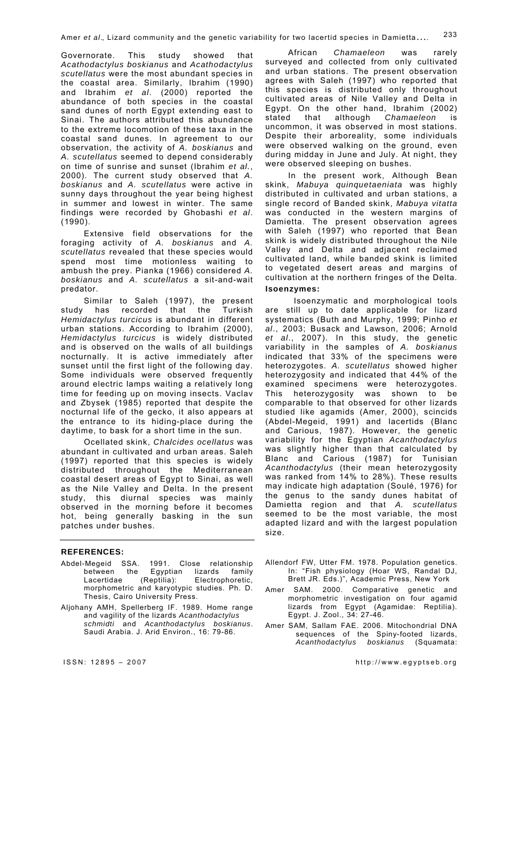Governorate. This study showed that *Acathodactylus boskianus* and *Acathodactylus scutellatus* were the most abundant species in the coastal area. Similarly, Ibrahim (1990) and Ibrahim *et al*. (2000) reported the abundance of both species in the coastal sand dunes of north Egypt extending east to Sinai. The authors attributed this abundance to the extreme locomotion of these taxa in the coastal sand dunes. In agreement to our observation, the activity of *A. boskianus* and *A. scutellatus* seemed to depend considerably on time of sunrise and sunset (Ibrahim *et al.*, 2000). The current study observed that *A. boskianus* and *A. scutellatus* were active in sunny days throughout the year being highest in summer and lowest in winter. The same findings were recorded by Ghobashi *et al*. (1990).

Extensive field observations for the foraging activity of *A. boskianus* and *A. scutellatus* revealed that these species would spend most time motionless waiting to ambush the prey. Pianka (1966) considered *A. boskianus* and *A. scutellatus* a sit-and-wait predator.

Similar to Saleh (1997), the present study has recorded that the Turkish *Hemidactylus turcicus* is abundant in different urban stations. According to Ibrahim (2000), *Hemidactylus turcicus* is widely distributed and is observed on the walls of all buildings nocturnally. It is active immediately after sunset until the first light of the following day. Some individuals were observed frequently around electric lamps waiting a relatively long time for feeding up on moving insects. Vaclav and Zbysek (1985) reported that despite the nocturnal life of the gecko, it also appears at the entrance to its hiding-place during the daytime, to bask for a short time in the sun.

Ocellated skink, *Chalcides ocellatus* was abundant in cultivated and urban areas. Saleh (1997) reported that this species is widely distributed throughout the Mediterranean coastal desert areas of Egypt to Sinai, as well as the Nile Valley and Delta. In the present study, this diurnal species was mainly observed in the morning before it becomes hot, being generally basking in the sun patches under bushes.

## African *Chamaeleon* was rarely surveyed and collected from only cultivated and urban stations. The present observation agrees with Saleh (1997) who reported that this species is distributed only throughout cultivated areas of Nile Valley and Delta in Egypt. On the other hand, Ibrahim (2002) stated that although *Chamaeleon* is uncommon, it was observed in most stations. Despite their arboreality, some individuals were observed walking on the ground, even during midday in June and July. At night, they were observed sleeping on bushes.

In the present work, Although Bean skink, *Mabuya quinquetaeniata* was highly distributed in cultivated and urban stations, a single record of Banded skink, *Mabuya vitatta* was conducted in the western margins of Damietta. The present observation agrees with Saleh (1997) who reported that Bean skink is widely distributed throughout the Nile Valley and Delta and adjacent reclaimed cultivated land, while banded skink is limited to vegetated desert areas and margins of cultivation at the northern fringes of the Delta. **Isoenzymes:** 

 Isoenzymatic and morphological tools are still up to date applicable for lizard systematics (Buth and Murphy, 1999; Pinho *et al*., 2003; Busack and Lawson, 2006; Arnold *et al*., 2007). In this study, the genetic variability in the samples of *A. boskianus*  indicated that 33% of the specimens were heterozygotes. *A. scutellatus* showed higher heterozygosity and indicated that 44% of the examined specimens were heterozygotes. This heterozygosity was shown to be comparable to that observed for other lizards studied like agamids (Amer, 2000), scincids (Abdel-Megeid, 1991) and lacertids (Blanc and Carious, 1987). However, the genetic variability for the Egyptian *Acanthodactylus* was slightly higher than that calculated by Blanc and Carious (1987) for Tunisian *Acanthodactylus* (their mean heterozygosity was ranked from 14% to 28%). These results may indicate high adaptation (Soulé, 1976) for the genus to the sandy dunes habitat of Damietta region and that *A. scutellatus* seemed to be the most variable, the most adapted lizard and with the largest population size.

## **REFERENCES:**

- Abdel-Megeid SSA. 1991. Close relationship between the Egyptian lizards family Lacertidae (Reptilia): Electrophoretic, morphometric and karyotypic studies. Ph. D. Thesis, Cairo University Press.
- Aljohany AMH, Spellerberg IF. 1989. Home range and vagility of the lizards *Acanthodactylus schmidti* and *Acanthodactylus boskianus*. Saudi Arabia. J. Arid Environ., 16: 79-86.

Allendorf FW, Utter FM. 1978. Population genetics. In: "Fish physiology (Hoar WS, Randal DJ, Brett JR. Eds.)", Academic Press, New York

- Amer SAM. 2000. Comparative genetic and morphometric investigation on four agamid lizards from Egypt (Agamidae: Reptilia). Egypt. J. Zool., 34: 27-46.
- Amer SAM, Sallam FAE. 2006. Mitochondrial DNA sequences of the Spiny-footed lizards, *Acanthodactylus boskianus* (Squamata:

ISSN: 12895 – 2007 http://www.egyptseb.org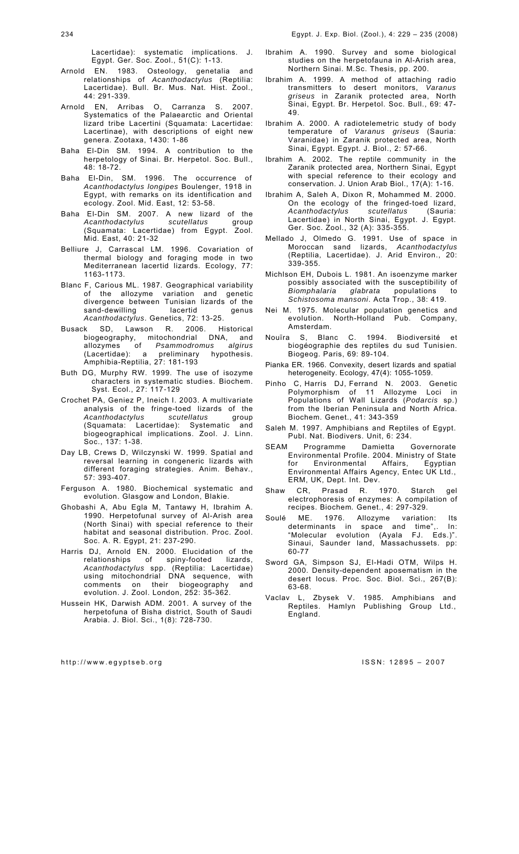Lacertidae): systematic implications. J. Egypt. Ger. Soc. Zool., 51(C): 1-13.

- Arnold EN. 1983. Osteology, genetalia relationships of *Acanthodactylus* (Reptilia: Lacertidae). Bull. Br. Mus. Nat. Hist. Zool., 44: 291-339.
- Arnold EN, Arribas O, Carranza S. 2007. Systematics of the Palaearctic and Oriental lizard tribe Lacertini (Squamata: Lacertidae: Lacertinae), with descriptions of eight new genera. Zootaxa, 1430: 1-86
- Baha El-Din SM. 1994. A contribution to the herpetology of Sinai. Br. Herpetol. Soc. Bull., 48: 18-72.
- Baha El-Din, SM. 1996. The occurrence of *Acanthodactylus longipes* Boulenger, 1918 in Egypt, with remarks on its identification and ecology. Zool. Mid. East, 12: 53-58.
- Baha El-Din SM. 2007. A new lizard of the *Acanthodactylus scutellatus* group (Squamata: Lacertidae) from Egypt. Zool. Mid. East, 40: 21-32
- Belliure J, Carrascal LM. 1996. Covariation of thermal biology and foraging mode in two Mediterranean lacertid lizards. Ecology, 77: 1163-1173.
- Blanc F, Carious ML. 1987. Geographical variability of the allozyme variation and genetic divergence between Tunisian lizards of the<br>sand-dewilling lacertid genus sand-dewilling lacertid *Acanthodactylus*. Genetics, 72: 13-25.
- Busack SD, Lawson R. 2006. Historical biogeography, mitochondrial DNA, and allozymes of *Psammodromus algirus*  (Lacertidae): a preliminary hypothesis. (Lacertidae): a preliminary<br>Amphibia-Reptilia, 27: 181-193
- Buth DG, Murphy RW. 1999. The use of isozyme characters in systematic studies. Biochem. Syst. Ecol., 27: 117*-*129
- Crochet PA, Geniez P, Ineich I. 2003. A multivariate analysis of the fringe-toed lizards of the *Acanthodactylus scutellatus* group (Squamata: Lacertidae): Systematic and biogeographical implications. Zool. J. Linn. Soc., 137: 1-38.
- Day LB, Crews D, Wilczynski W. 1999. Spatial and reversal learning in congeneric lizards with different foraging strategies. Anim. Behav., 57: 393-407.
- Ferguson A. 1980. Biochemical systematic and evolution. Glasgow and London, Blakie.
- Ghobashi A, Abu Egla M, Tantawy H, Ibrahim A. 1990. Herpetofunal survey of Al-Arish area (North Sinai) with special reference to their habitat and seasonal distribution. Proc. Zool. Soc. A. R. Egypt, 21: 237-290.
- Harris DJ, Arnold EN. 2000. Elucidation of the relationships of spiny-footed lizards, *Acanthodactylus* spp. (Reptilia: Lacertidae) using mitochondrial DNA sequence, with comments on their biogeography and evolution. J. Zool. London, 252: 35-362.
- Hussein HK, Darwish ADM. 2001. A survey of the herpetofuna of Bisha district, South of Saudi Arabia. J. Biol. Sci., 1(8): 728-730.

http://www.egyptseb.org ISSN: 12895 – 2007

- Ibrahim A. 1990. Survey and some biological studies on the herpetofauna in Al-Arish area, Northern Sinai. M.Sc. Thesis, pp. 200.
- Ibrahim A. 1999. A method of attaching radio transmitters to desert monitors, *Varanus griseus* in Zaranik protected area, North Sinai, Egypt. Br. Herpetol. Soc. Bull., 69: 47- 49.
- Ibrahim A. 2000. A radiotelemetric study of body temperature of *Varanus griseus* (Sauria: Varanidae) in Zaranik protected area, North Sinai, Egypt. Egypt. J. Biol., 2: 57-66.
- Ibrahim A. 2002. The reptile community in the Zaranik protected area, Northern Sinai, Egypt with special reference to their ecology and conservation. J. Union Arab Biol., 17(A): 1-16.
- Ibrahim A, Saleh A, Dixon R, Mohammed M. 2000. On the ecology of the fringed-toed lizard, *Acanthodactylus scutellatus* (Sauria: Lacertidae) in North Sinai, Egypt. J. Egypt. Ger. Soc. Zool., 32 (A): 335-355.
- Mellado J, Olmedo G. 1991. Use of space in Moroccan sand lizards, *Acanthodactylus*  (Reptilia, Lacertidae). J. Arid Environ., 20: 339-355.
- Michlson EH, Dubois L. 1981. An isoenzyme marker possibly associated with the susceptibility of *Biomphalaria glabrata* populations to *Schistosoma mansoni*. Acta Trop., 38: 419.
- Nei M. 1975. Molecular population genetics and evolution. North-Holland Pub. Company, Amsterdam.
- Nouïra S, Blanc C. 1994. Biodiversité et biogéographie des reptiles du sud Tunisien. Biogeog. Paris, 69: 89-104.
- Pianka ER. 1966. Convexity, desert lizards and spatial heterogeneity. Ecology, 47(4): 1055-1059.
- Pinho C, Harris DJ, Ferrand N. 2003. Genetic Polymorphism of 11 Allozyme Loci in Populations of Wall Lizards (*Podarcis* sp.) from the Iberian Peninsula and North Africa. Biochem. Genet., 41: 343-359
- Saleh M. 1997. Amphibians and Reptiles of Egypt. Publ. Nat. Biodivers. Unit, 6: 234.
- SEAM Programme Damietta Governorate Environmental Profile. 2004. Ministry of State for Environmental Affairs, Egyptian Environmental Affairs Agency, Entec UK Ltd., ERM, UK, Dept. Int. Dev.
- Shaw CR, Prasad R. 1970. Starch gel electrophoresis of enzymes: A compilation of recipes. Biochem*.* Genet., 4: 297-329.
- Soulé ME. 1976. Allozyme variation: Its determinants in space and time",. In: "Molecular evolution (Ayala FJ. Eds.)". Sinaui, Saunder land, Massachussets. pp: 60-77
- Sword GA, Simpson SJ, El-Hadi OTM, Wilps H. 2000. Density-dependent aposematism in the desert locus. Proc. Soc. Biol. Sci., 267(B): 63-68.
- Vaclav L, Zbysek V. 1985. Amphibians and Reptiles. Hamlyn Publishing Group Ltd., England.